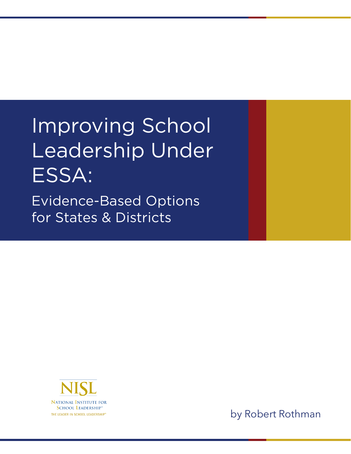# Improving School Leadership Under ESSA: Evidence-Based Options for States & Districts



by Robert Rothman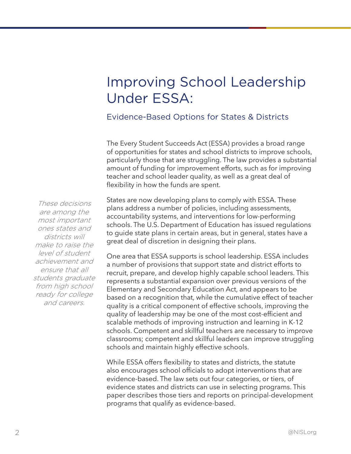## Improving School Leadership Under ESSA:

#### Evidence-Based Options for States & Districts

The Every Student Succeeds Act (ESSA) provides a broad range of opportunities for states and school districts to improve schools, particularly those that are struggling. The law provides a substantial amount of funding for improvement efforts, such as for improving teacher and school leader quality, as well as a great deal of flexibility in how the funds are spent.

States are now developing plans to comply with ESSA. These plans address a number of policies, including assessments, accountability systems, and interventions for low-performing schools. The U.S. Department of Education has issued regulations to guide state plans in certain areas, but in general, states have a great deal of discretion in designing their plans.

One area that ESSA supports is school leadership. ESSA includes a number of provisions that support state and district efforts to recruit, prepare, and develop highly capable school leaders. This represents a substantial expansion over previous versions of the Elementary and Secondary Education Act, and appears to be based on a recognition that, while the cumulative effect of teacher quality is a critical component of effective schools, improving the quality of leadership may be one of the most cost-efficient and scalable methods of improving instruction and learning in K-12 schools. Competent and skillful teachers are necessary to improve classrooms; competent and skillful leaders can improve struggling schools and maintain highly effective schools.

While ESSA offers flexibility to states and districts, the statute also encourages school officials to adopt interventions that are evidence-based. The law sets out four categories, or tiers, of evidence states and districts can use in selecting programs. This paper describes those tiers and reports on principal-development programs that qualify as evidence-based.

These decisions are among the most important ones states and districts will make to raise the level of student achievement and ensure that all students graduate from high school ready for college and careers.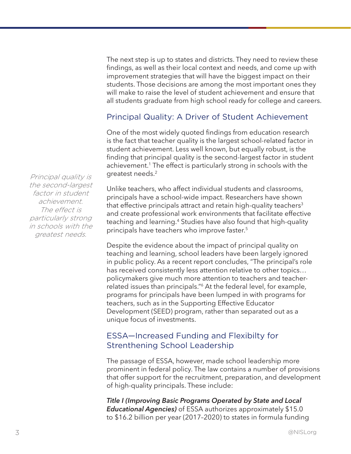The next step is up to states and districts. They need to review these findings, as well as their local context and needs, and come up with improvement strategies that will have the biggest impact on their students. Those decisions are among the most important ones they will make to raise the level of student achievement and ensure that all students graduate from high school ready for college and careers.

#### Principal Quality: A Driver of Student Achievement

One of the most widely quoted findings from education research is the fact that teacher quality is the largest school-related factor in student achievement. Less well known, but equally robust, is the finding that principal quality is the second-largest factor in student achievement.<sup>1</sup> The effect is particularly strong in schools with the greatest needs.2

Unlike teachers, who affect individual students and classrooms, principals have a school-wide impact. Researchers have shown that effective principals attract and retain high-quality teachers<sup>3</sup> and create professional work environments that facilitate effective teaching and learning.4 Studies have also found that high-quality principals have teachers who improve faster.5

Despite the evidence about the impact of principal quality on teaching and learning, school leaders have been largely ignored in public policy. As a recent report concludes, "The principal's role has received consistently less attention relative to other topics… policymakers give much more attention to teachers and teacherrelated issues than principals."6 At the federal level, for example, programs for principals have been lumped in with programs for teachers, such as in the Supporting Effective Educator Development (SEED) program, rather than separated out as a unique focus of investments.

#### ESSA—Increased Funding and Flexibilty for Strenthening School Leadership

The passage of ESSA, however, made school leadership more prominent in federal policy. The law contains a number of provisions that offer support for the recruitment, preparation, and development of high-quality principals. These include:

*Title I (Improving Basic Programs Operated by State and Local Educational Agencies)* of ESSA authorizes approximately \$15.0 to \$16.2 billion per year (2017–2020) to states in formula funding

Principal quality is the second-largest factor in student achievement. The effect is particularly strong in schools with the greatest needs.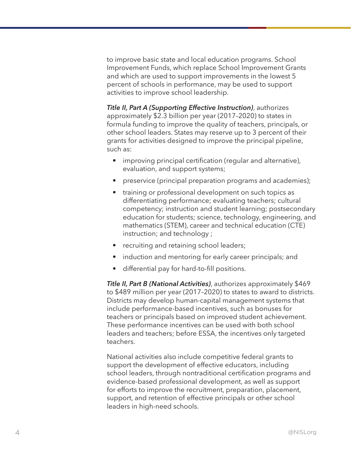to improve basic state and local education programs. School Improvement Funds, which replace School Improvement Grants and which are used to support improvements in the lowest 5 percent of schools in performance, may be used to support activities to improve school leadership.

*Title II, Part A (Supporting Effective Instruction)*, authorizes approximately \$2.3 billion per year (2017–2020) to states in formula funding to improve the quality of teachers, principals, or other school leaders. States may reserve up to 3 percent of their grants for activities designed to improve the principal pipeline, such as:

- improving principal certification (regular and alternative), evaluation, and support systems;
- preservice (principal preparation programs and academies);
- training or professional development on such topics as differentiating performance; evaluating teachers; cultural competency; instruction and student learning; postsecondary education for students; science, technology, engineering, and mathematics (STEM), career and technical education (CTE) instruction; and technology ;
- recruiting and retaining school leaders;
- induction and mentoring for early career principals; and
- differential pay for hard-to-fill positions.

*Title II, Part B (National Activities)*, authorizes approximately \$469 to \$489 million per year (2017–2020) to states to award to districts. Districts may develop human-capital management systems that include performance-based incentives, such as bonuses for teachers or principals based on improved student achievement. These performance incentives can be used with both school leaders and teachers; before ESSA, the incentives only targeted teachers.

National activities also include competitive federal grants to support the development of effective educators, including school leaders, through nontraditional certification programs and evidence-based professional development, as well as support for efforts to improve the recruitment, preparation, placement, support, and retention of effective principals or other school leaders in high-need schools.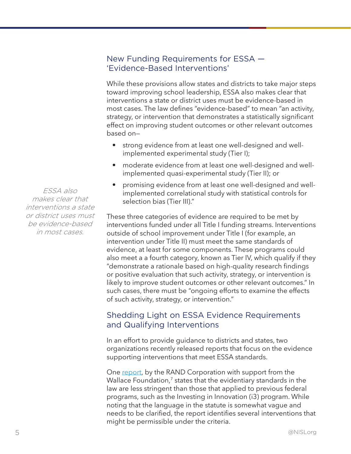#### New Funding Requirements for ESSA — 'Evidence-Based Interventions'

While these provisions allow states and districts to take major steps toward improving school leadership, ESSA also makes clear that interventions a state or district uses must be evidence-based in most cases. The law defines "evidence-based" to mean "an activity, strategy, or intervention that demonstrates a statistically significant effect on improving student outcomes or other relevant outcomes based on—

- strong evidence from at least one well-designed and wellimplemented experimental study (Tier I);
- moderate evidence from at least one well-designed and wellimplemented quasi-experimental study (Tier II); or
- promising evidence from at least one well-designed and wellimplemented correlational study with statistical controls for selection bias (Tier III)."

These three categories of evidence are required to be met by interventions funded under all Title I funding streams. Interventions outside of school improvement under Title I (for example, an intervention under Title II) must meet the same standards of evidence, at least for some components. These programs could also meet a a fourth category, known as Tier IV, which qualify if they "demonstrate a rationale based on high-quality research findings or positive evaluation that such activity, strategy, or intervention is likely to improve student outcomes or other relevant outcomes." In such cases, there must be "ongoing efforts to examine the effects of such activity, strategy, or intervention."

#### Shedding Light on ESSA Evidence Requirements and Qualifying Interventions

In an effort to provide guidance to districts and states, two organizations recently released reports that focus on the evidence supporting interventions that meet ESSA standards.

One report, by the RAND Corporation with support from the Wallace Foundation,<sup>7</sup> states that the evidentiary standards in the law are less stringent than those that applied to previous federal programs, such as the Investing in Innovation (i3) program. While noting that the language in the statute is somewhat vague and needs to be clarified, the report identifies several interventions that might be permissible under the criteria.

ESSA also makes clear that interventions a state or district uses must be evidence-based in most cases.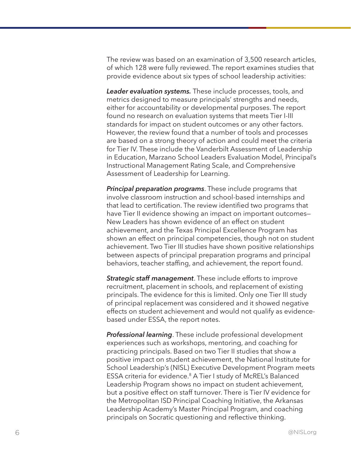The review was based on an examination of 3,500 research articles, of which 128 were fully reviewed. The report examines studies that provide evidence about six types of school leadership activities:

*Leader evaluation systems.* These include processes, tools, and metrics designed to measure principals' strengths and needs, either for accountability or developmental purposes. The report found no research on evaluation systems that meets Tier I-III standards for impact on student outcomes or any other factors. However, the review found that a number of tools and processes are based on a strong theory of action and could meet the criteria for Tier IV. These include the Vanderbilt Assessment of Leadership in Education, Marzano School Leaders Evaluation Model, Principal's Instructional Management Rating Scale, and Comprehensive Assessment of Leadership for Learning.

*Principal preparation programs*. These include programs that involve classroom instruction and school-based internships and that lead to certification. The review identified two programs that have Tier II evidence showing an impact on important outcomes-New Leaders has shown evidence of an effect on student achievement, and the Texas Principal Excellence Program has shown an effect on principal competencies, though not on student achievement. Two Tier III studies have shown positive relationships between aspects of principal preparation programs and principal behaviors, teacher staffing, and achievement, the report found.

*Strategic staff management*. These include efforts to improve recruitment, placement in schools, and replacement of existing principals. The evidence for this is limited. Only one Tier III study of principal replacement was considered and it showed negative effects on student achievement and would not qualify as evidencebased under ESSA, the report notes.

*Professional learning*. These include professional development experiences such as workshops, mentoring, and coaching for practicing principals. Based on two Tier II studies that show a positive impact on student achievement, the National Institute for School Leadership's (NISL) Executive Development Program meets ESSA criteria for evidence. <sup>8</sup> A Tier I study of McREL's Balanced Leadership Program shows no impact on student achievement, but a positive effect on staff turnover. There is Tier IV evidence for the Metropolitan ISD Principal Coaching Initiative, the Arkansas Leadership Academy's Master Principal Program, and coaching principals on Socratic questioning and reflective thinking.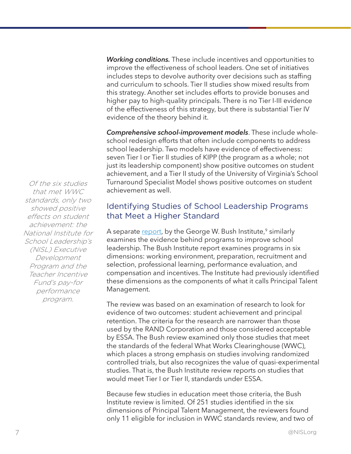*Working conditions.* These include incentives and opportunities to improve the effectiveness of school leaders. One set of initiatives includes steps to devolve authority over decisions such as staffing and curriculum to schools. Tier II studies show mixed results from this strategy. Another set includes efforts to provide bonuses and higher pay to high-quality principals. There is no Tier I-III evidence of the effectiveness of this strategy, but there is substantial Tier IV evidence of the theory behind it.

*Comprehensive school-improvement models*. These include wholeschool redesign efforts that often include components to address school leadership. Two models have evidence of effectiveness: seven Tier I or Tier II studies of KIPP (the program as a whole; not just its leadership component) show positive outcomes on student achievement, and a Tier II study of the University of Virginia's School Turnaround Specialist Model shows positive outcomes on student achievement as well.

#### Identifying Studies of School Leadership Programs that Meet a Higher Standard

A separate report, by the George W. Bush Institute,<sup>9</sup> similarly examines the evidence behind programs to improve school leadership. The Bush Institute report examines programs in six dimensions: working environment, preparation, recruitment and selection, professional learning, performance evaluation, and compensation and incentives. The Institute had previously identified these dimensions as the components of what it calls Principal Talent Management.

The review was based on an examination of research to look for evidence of two outcomes: student achievement and principal retention. The criteria for the research are narrower than those used by the RAND Corporation and those considered acceptable by ESSA. The Bush review examined only those studies that meet the standards of the federal What Works Clearinghouse (WWC), which places a strong emphasis on studies involving randomized controlled trials, but also recognizes the value of quasi-experimental studies. That is, the Bush Institute review reports on studies that would meet Tier I or Tier II, standards under ESSA.

Because few studies in education meet those criteria, the Bush Institute review is limited. Of 251 studies identified in the six dimensions of Principal Talent Management, the reviewers found only 11 eligible for inclusion in WWC standards review, and two of

Of the six studies that met WWC standards, only two showed positive effects on student achievement: the National Institute for School Leadership's (NISL) Executive Development Program and the Teacher Incentive Fund's pay-for performance program.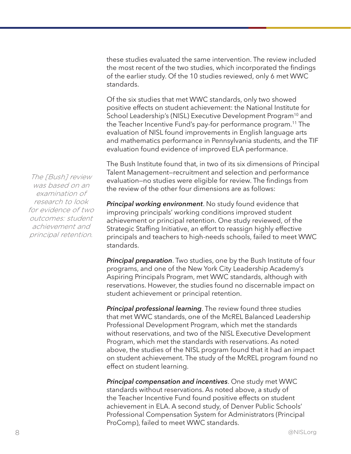these studies evaluated the same intervention. The review included the most recent of the two studies, which incorporated the findings of the earlier study. Of the 10 studies reviewed, only 6 met WWC standards.

Of the six studies that met WWC standards, only two showed positive effects on student achievement: the National Institute for School Leadership's (NISL) Executive Development Program<sup>10</sup> and the Teacher Incentive Fund's pay-for performance program.11 The evaluation of NISL found improvements in English language arts and mathematics performance in Pennsylvania students, and the TIF evaluation found evidence of improved ELA performance.

The Bush Institute found that, in two of its six dimensions of Principal Talent Management—recruitment and selection and performance evaluation—no studies were eligible for review. The findings from the review of the other four dimensions are as follows:

*Principal working environment*. No study found evidence that improving principals' working conditions improved student achievement or principal retention. One study reviewed, of the Strategic Staffing Initiative, an effort to reassign highly effective principals and teachers to high-needs schools, failed to meet WWC standards.

*Principal preparation*. Two studies, one by the Bush Institute of four programs, and one of the New York City Leadership Academy's Aspiring Principals Program, met WWC standards, although with reservations. However, the studies found no discernable impact on student achievement or principal retention.

*Principal professional learning*. The review found three studies that met WWC standards, one of the McREL Balanced Leadership Professional Development Program, which met the standards without reservations, and two of the NISL Executive Development Program, which met the standards with reservations. As noted above, the studies of the NISL program found that it had an impact on student achievement. The study of the McREL program found no effect on student learning.

*Principal compensation and incentives*. One study met WWC standards without reservations. As noted above, a study of the Teacher Incentive Fund found positive effects on student achievement in ELA. A second study, of Denver Public Schools' Professional Compensation System for Administrators (Principal ProComp), failed to meet WWC standards.

The [Bush] review was based on an examination of research to look for evidence of two outcomes: student achievement and principal retention.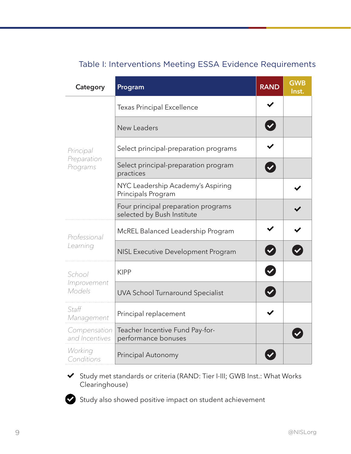| Category                             | Program                                                           | <b>RAND</b> | <b>GWB</b><br>Inst. |
|--------------------------------------|-------------------------------------------------------------------|-------------|---------------------|
| Principal<br>Preparation<br>Programs | <b>Texas Principal Excellence</b>                                 |             |                     |
|                                      | <b>New Leaders</b>                                                |             |                     |
|                                      | Select principal-preparation programs                             |             |                     |
|                                      | Select principal-preparation program<br>practices                 |             |                     |
|                                      | NYC Leadership Academy's Aspiring<br>Principals Program           |             |                     |
|                                      | Four principal preparation programs<br>selected by Bush Institute |             |                     |
| Professional<br>Learning             | McREL Balanced Leadership Program                                 |             |                     |
|                                      | NISL Executive Development Program                                |             |                     |
| School<br>Improvement<br>Models      | <b>KIPP</b>                                                       |             |                     |
|                                      | <b>UVA School Turnaround Specialist</b>                           |             |                     |
| Staff<br>Management                  | Principal replacement                                             |             |                     |
| Compensation<br>and Incentives       | Teacher Incentive Fund Pay-for-<br>performance bonuses            |             |                     |
| Working<br>Conditions                | Principal Autonomy                                                |             |                     |

### Table I: Interventions Meeting ESSA Evidence Requirements

Study met standards or criteria (RAND: Tier I-III; GWB Inst.: What Works Clearinghouse)

Study also showed positive impact on student achievement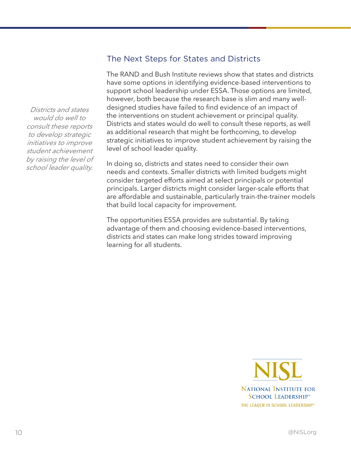#### The Next Steps for States and Districts

The RAND and Bush Institute reviews show that states and districts have some options in identifying evidence-based interventions to support school leadership under ESSA. Those options are limited, however, both because the research base is slim and many welldesigned studies have failed to find evidence of an impact of the interventions on student achievement or principal quality. Districts and states would do well to consult these reports, as well as additional research that might be forthcoming, to develop strategic initiatives to improve student achievement by raising the level of school leader quality.

In doing so, districts and states need to consider their own needs and contexts. Smaller districts with limited budgets might consider targeted efforts aimed at select principals or potential principals. Larger districts might consider larger-scale efforts that are affordable and sustainable, particularly train-the-trainer models that build local capacity for improvement.

The opportunities ESSA provides are substantial. By taking advantage of them and choosing evidence-based interventions, districts and states can make long strides toward improving learning for all students.

> **NATIONAL INSTITUTE FOR SCHOOL LEADERSHIP®** THE LEADER IN SCHOOL LEADERSHIP®

Districts and states would do well to consult these reports to develop strategic initiatives to improve student achievement by raising the level of school leader quality.